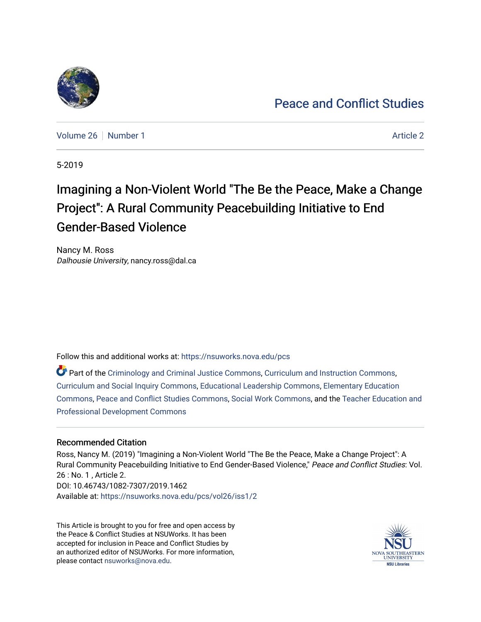

[Peace and Conflict Studies](https://nsuworks.nova.edu/pcs) 

[Volume 26](https://nsuworks.nova.edu/pcs/vol26) [Number 1](https://nsuworks.nova.edu/pcs/vol26/iss1) [Article 2](https://nsuworks.nova.edu/pcs/vol26/iss1/2) Article 2 Article 2

5-2019

# Imagining a Non-Violent World "The Be the Peace, Make a Change Project": A Rural Community Peacebuilding Initiative to End Gender-Based Violence

Nancy M. Ross Dalhousie University, nancy.ross@dal.ca

Follow this and additional works at: [https://nsuworks.nova.edu/pcs](https://nsuworks.nova.edu/pcs?utm_source=nsuworks.nova.edu%2Fpcs%2Fvol26%2Fiss1%2F2&utm_medium=PDF&utm_campaign=PDFCoverPages)

Part of the [Criminology and Criminal Justice Commons](http://network.bepress.com/hgg/discipline/367?utm_source=nsuworks.nova.edu%2Fpcs%2Fvol26%2Fiss1%2F2&utm_medium=PDF&utm_campaign=PDFCoverPages), [Curriculum and Instruction Commons](http://network.bepress.com/hgg/discipline/786?utm_source=nsuworks.nova.edu%2Fpcs%2Fvol26%2Fiss1%2F2&utm_medium=PDF&utm_campaign=PDFCoverPages), [Curriculum and Social Inquiry Commons,](http://network.bepress.com/hgg/discipline/1038?utm_source=nsuworks.nova.edu%2Fpcs%2Fvol26%2Fiss1%2F2&utm_medium=PDF&utm_campaign=PDFCoverPages) [Educational Leadership Commons](http://network.bepress.com/hgg/discipline/1230?utm_source=nsuworks.nova.edu%2Fpcs%2Fvol26%2Fiss1%2F2&utm_medium=PDF&utm_campaign=PDFCoverPages), [Elementary Education](http://network.bepress.com/hgg/discipline/1378?utm_source=nsuworks.nova.edu%2Fpcs%2Fvol26%2Fiss1%2F2&utm_medium=PDF&utm_campaign=PDFCoverPages) [Commons](http://network.bepress.com/hgg/discipline/1378?utm_source=nsuworks.nova.edu%2Fpcs%2Fvol26%2Fiss1%2F2&utm_medium=PDF&utm_campaign=PDFCoverPages), [Peace and Conflict Studies Commons](http://network.bepress.com/hgg/discipline/397?utm_source=nsuworks.nova.edu%2Fpcs%2Fvol26%2Fiss1%2F2&utm_medium=PDF&utm_campaign=PDFCoverPages), [Social Work Commons,](http://network.bepress.com/hgg/discipline/713?utm_source=nsuworks.nova.edu%2Fpcs%2Fvol26%2Fiss1%2F2&utm_medium=PDF&utm_campaign=PDFCoverPages) and the [Teacher Education and](http://network.bepress.com/hgg/discipline/803?utm_source=nsuworks.nova.edu%2Fpcs%2Fvol26%2Fiss1%2F2&utm_medium=PDF&utm_campaign=PDFCoverPages) [Professional Development Commons](http://network.bepress.com/hgg/discipline/803?utm_source=nsuworks.nova.edu%2Fpcs%2Fvol26%2Fiss1%2F2&utm_medium=PDF&utm_campaign=PDFCoverPages)

## Recommended Citation

Ross, Nancy M. (2019) "Imagining a Non-Violent World "The Be the Peace, Make a Change Project": A Rural Community Peacebuilding Initiative to End Gender-Based Violence," Peace and Conflict Studies: Vol. 26 : No. 1 , Article 2. DOI: 10.46743/1082-7307/2019.1462 Available at: [https://nsuworks.nova.edu/pcs/vol26/iss1/2](https://nsuworks.nova.edu/pcs/vol26/iss1/2?utm_source=nsuworks.nova.edu%2Fpcs%2Fvol26%2Fiss1%2F2&utm_medium=PDF&utm_campaign=PDFCoverPages)

This Article is brought to you for free and open access by the Peace & Conflict Studies at NSUWorks. It has been accepted for inclusion in Peace and Conflict Studies by an authorized editor of NSUWorks. For more information, please contact [nsuworks@nova.edu](mailto:nsuworks@nova.edu).

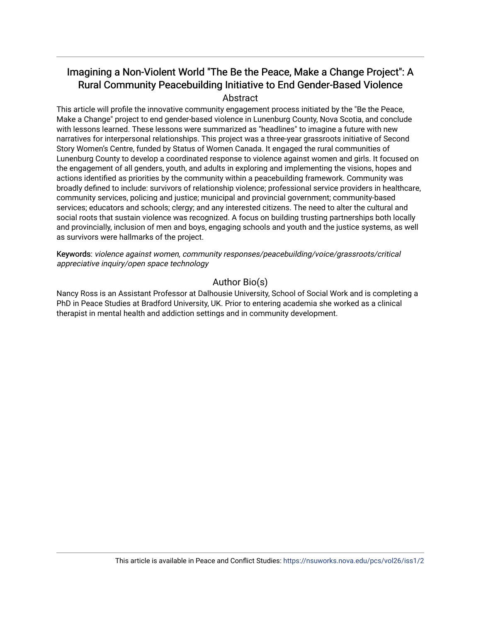## Imagining a Non-Violent World "The Be the Peace, Make a Change Project": A Rural Community Peacebuilding Initiative to End Gender-Based Violence Abstract

This article will profile the innovative community engagement process initiated by the "Be the Peace, Make a Change" project to end gender-based violence in Lunenburg County, Nova Scotia, and conclude with lessons learned. These lessons were summarized as "headlines" to imagine a future with new narratives for interpersonal relationships. This project was a three-year grassroots initiative of Second Story Women's Centre, funded by Status of Women Canada. It engaged the rural communities of Lunenburg County to develop a coordinated response to violence against women and girls. It focused on the engagement of all genders, youth, and adults in exploring and implementing the visions, hopes and actions identified as priorities by the community within a peacebuilding framework. Community was broadly defined to include: survivors of relationship violence; professional service providers in healthcare, community services, policing and justice; municipal and provincial government; community-based services; educators and schools; clergy; and any interested citizens. The need to alter the cultural and social roots that sustain violence was recognized. A focus on building trusting partnerships both locally and provincially, inclusion of men and boys, engaging schools and youth and the justice systems, as well as survivors were hallmarks of the project.

Keywords: violence against women, community responses/peacebuilding/voice/grassroots/critical appreciative inquiry/open space technology

## Author Bio(s)

Nancy Ross is an Assistant Professor at Dalhousie University, School of Social Work and is completing a PhD in Peace Studies at Bradford University, UK. Prior to entering academia she worked as a clinical therapist in mental health and addiction settings and in community development.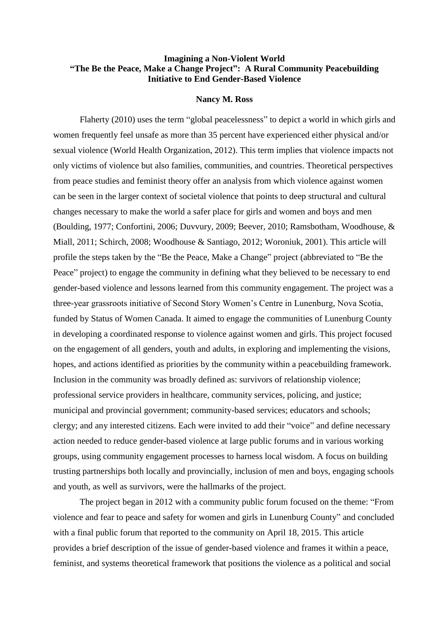## **Imagining a Non-Violent World "The Be the Peace, Make a Change Project": A Rural Community Peacebuilding Initiative to End Gender-Based Violence**

#### **Nancy M. Ross**

Flaherty (2010) uses the term "global peacelessness" to depict a world in which girls and women frequently feel unsafe as more than 35 percent have experienced either physical and/or sexual violence (World Health Organization, 2012). This term implies that violence impacts not only victims of violence but also families, communities, and countries. Theoretical perspectives from peace studies and feminist theory offer an analysis from which violence against women can be seen in the larger context of societal violence that points to deep structural and cultural changes necessary to make the world a safer place for girls and women and boys and men (Boulding, 1977; Confortini, 2006; Duvvury, 2009; Beever, 2010; Ramsbotham, Woodhouse, & Miall, 2011; Schirch, 2008; Woodhouse & Santiago, 2012; Woroniuk, 2001). This article will profile the steps taken by the "Be the Peace, Make a Change" project (abbreviated to "Be the Peace" project) to engage the community in defining what they believed to be necessary to end gender-based violence and lessons learned from this community engagement. The project was a three-year grassroots initiative of Second Story Women's Centre in Lunenburg, Nova Scotia, funded by Status of Women Canada. It aimed to engage the communities of Lunenburg County in developing a coordinated response to violence against women and girls. This project focused on the engagement of all genders, youth and adults, in exploring and implementing the visions, hopes, and actions identified as priorities by the community within a peacebuilding framework. Inclusion in the community was broadly defined as: survivors of relationship violence; professional service providers in healthcare, community services, policing, and justice; municipal and provincial government; community-based services; educators and schools; clergy; and any interested citizens. Each were invited to add their "voice" and define necessary action needed to reduce gender-based violence at large public forums and in various working groups, using community engagement processes to harness local wisdom. A focus on building trusting partnerships both locally and provincially, inclusion of men and boys, engaging schools and youth, as well as survivors, were the hallmarks of the project.

The project began in 2012 with a community public forum focused on the theme: "From violence and fear to peace and safety for women and girls in Lunenburg County" and concluded with a final public forum that reported to the community on April 18, 2015. This article provides a brief description of the issue of gender-based violence and frames it within a peace, feminist, and systems theoretical framework that positions the violence as a political and social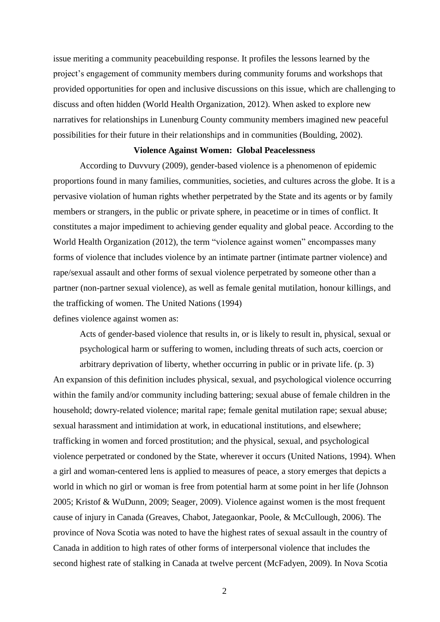issue meriting a community peacebuilding response. It profiles the lessons learned by the project's engagement of community members during community forums and workshops that provided opportunities for open and inclusive discussions on this issue, which are challenging to discuss and often hidden (World Health Organization, 2012). When asked to explore new narratives for relationships in Lunenburg County community members imagined new peaceful possibilities for their future in their relationships and in communities (Boulding, 2002).

#### **Violence Against Women: Global Peacelessness**

According to Duvvury (2009), gender-based violence is a phenomenon of epidemic proportions found in many families, communities, societies, and cultures across the globe. It is a pervasive violation of human rights whether perpetrated by the State and its agents or by family members or strangers, in the public or private sphere, in peacetime or in times of conflict. It constitutes a major impediment to achieving gender equality and global peace. According to the World Health Organization (2012), the term "violence against women" encompasses many forms of violence that includes violence by an intimate partner (intimate partner violence) and rape/sexual assault and other forms of sexual violence perpetrated by someone other than a partner (non-partner sexual violence), as well as female genital mutilation, honour killings, and the trafficking of women. The United Nations (1994) defines violence against women as:

Acts of gender-based violence that results in, or is likely to result in, physical, sexual or psychological harm or suffering to women, including threats of such acts, coercion or

arbitrary deprivation of liberty, whether occurring in public or in private life. (p. 3) An expansion of this definition includes physical, sexual, and psychological violence occurring within the family and/or community including battering; sexual abuse of female children in the household; dowry-related violence; marital rape; female genital mutilation rape; sexual abuse; sexual harassment and intimidation at work, in educational institutions, and elsewhere; trafficking in women and forced prostitution; and the physical, sexual, and psychological violence perpetrated or condoned by the State, wherever it occurs (United Nations, 1994). When a girl and woman-centered lens is applied to measures of peace, a story emerges that depicts a world in which no girl or woman is free from potential harm at some point in her life (Johnson 2005; Kristof & WuDunn, 2009; Seager, 2009). Violence against women is the most frequent cause of injury in Canada (Greaves, Chabot, Jategaonkar, Poole, & McCullough, 2006). The province of Nova Scotia was noted to have the highest rates of sexual assault in the country of Canada in addition to high rates of other forms of interpersonal violence that includes the second highest rate of stalking in Canada at twelve percent (McFadyen, 2009). In Nova Scotia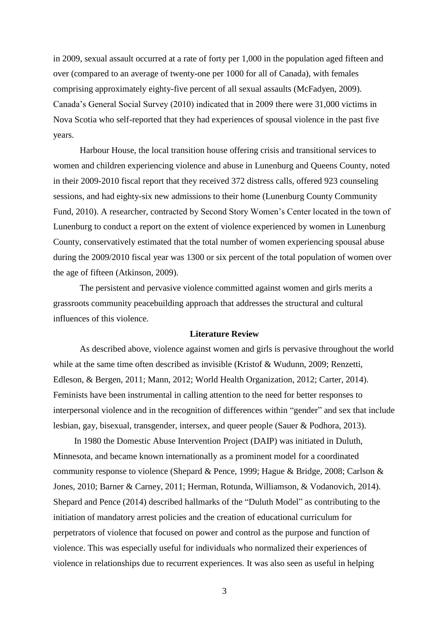in 2009, sexual assault occurred at a rate of forty per 1,000 in the population aged fifteen and over (compared to an average of twenty-one per 1000 for all of Canada), with females comprising approximately eighty-five percent of all sexual assaults (McFadyen, 2009). Canada's General Social Survey (2010) indicated that in 2009 there were 31,000 victims in Nova Scotia who self-reported that they had experiences of spousal violence in the past five years.

Harbour House, the local transition house offering crisis and transitional services to women and children experiencing violence and abuse in Lunenburg and Queens County, noted in their 2009-2010 fiscal report that they received 372 distress calls, offered 923 counseling sessions, and had eighty-six new admissions to their home (Lunenburg County Community Fund, 2010). A researcher, contracted by Second Story Women's Center located in the town of Lunenburg to conduct a report on the extent of violence experienced by women in Lunenburg County, conservatively estimated that the total number of women experiencing spousal abuse during the 2009/2010 fiscal year was 1300 or six percent of the total population of women over the age of fifteen (Atkinson, 2009).

The persistent and pervasive violence committed against women and girls merits a grassroots community peacebuilding approach that addresses the structural and cultural influences of this violence.

#### **Literature Review**

As described above, violence against women and girls is pervasive throughout the world while at the same time often described as invisible (Kristof & Wudunn, 2009; Renzetti, Edleson, & Bergen, 2011; Mann, 2012; World Health Organization, 2012; Carter, 2014). Feminists have been instrumental in calling attention to the need for better responses to interpersonal violence and in the recognition of differences within "gender" and sex that include lesbian, gay, bisexual, transgender, intersex, and queer people (Sauer & Podhora, 2013).

In 1980 the Domestic Abuse Intervention Project (DAIP) was initiated in Duluth, Minnesota, and became known internationally as a prominent model for a coordinated community response to violence (Shepard & Pence, 1999; Hague & Bridge, 2008; Carlson & Jones, 2010; Barner & Carney, 2011; Herman, Rotunda, Williamson, & Vodanovich, 2014). Shepard and Pence (2014) described hallmarks of the "Duluth Model" as contributing to the initiation of mandatory arrest policies and the creation of educational curriculum for perpetrators of violence that focused on power and control as the purpose and function of violence. This was especially useful for individuals who normalized their experiences of violence in relationships due to recurrent experiences. It was also seen as useful in helping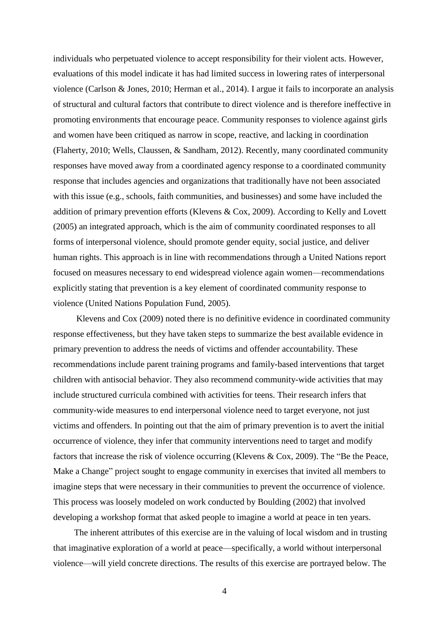individuals who perpetuated violence to accept responsibility for their violent acts. However, evaluations of this model indicate it has had limited success in lowering rates of interpersonal violence (Carlson & Jones, 2010; Herman et al., 2014). I argue it fails to incorporate an analysis of structural and cultural factors that contribute to direct violence and is therefore ineffective in promoting environments that encourage peace. Community responses to violence against girls and women have been critiqued as narrow in scope, reactive, and lacking in coordination (Flaherty, 2010; Wells, Claussen, & Sandham, 2012). Recently, many coordinated community responses have moved away from a coordinated agency response to a coordinated community response that includes agencies and organizations that traditionally have not been associated with this issue (e.g., schools, faith communities, and businesses) and some have included the addition of primary prevention efforts (Klevens & Cox, 2009). According to Kelly and Lovett (2005) an integrated approach, which is the aim of community coordinated responses to all forms of interpersonal violence, should promote gender equity, social justice, and deliver human rights. This approach is in line with recommendations through a United Nations report focused on measures necessary to end widespread violence again women—recommendations explicitly stating that prevention is a key element of coordinated community response to violence (United Nations Population Fund, 2005).

Klevens and Cox (2009) noted there is no definitive evidence in coordinated community response effectiveness, but they have taken steps to summarize the best available evidence in primary prevention to address the needs of victims and offender accountability. These recommendations include parent training programs and family-based interventions that target children with antisocial behavior. They also recommend community-wide activities that may include structured curricula combined with activities for teens. Their research infers that community-wide measures to end interpersonal violence need to target everyone, not just victims and offenders. In pointing out that the aim of primary prevention is to avert the initial occurrence of violence, they infer that community interventions need to target and modify factors that increase the risk of violence occurring (Klevens & Cox, 2009). The "Be the Peace, Make a Change" project sought to engage community in exercises that invited all members to imagine steps that were necessary in their communities to prevent the occurrence of violence. This process was loosely modeled on work conducted by Boulding (2002) that involved developing a workshop format that asked people to imagine a world at peace in ten years.

The inherent attributes of this exercise are in the valuing of local wisdom and in trusting that imaginative exploration of a world at peace—specifically, a world without interpersonal violence—will yield concrete directions. The results of this exercise are portrayed below. The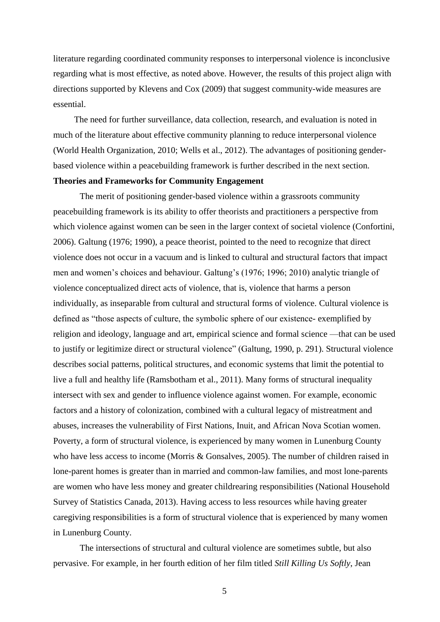literature regarding coordinated community responses to interpersonal violence is inconclusive regarding what is most effective, as noted above. However, the results of this project align with directions supported by Klevens and Cox (2009) that suggest community-wide measures are essential.

The need for further surveillance, data collection, research, and evaluation is noted in much of the literature about effective community planning to reduce interpersonal violence (World Health Organization, 2010; Wells et al., 2012). The advantages of positioning genderbased violence within a peacebuilding framework is further described in the next section. **Theories and Frameworks for Community Engagement**

The merit of positioning gender-based violence within a grassroots community peacebuilding framework is its ability to offer theorists and practitioners a perspective from which violence against women can be seen in the larger context of societal violence (Confortini, 2006). Galtung (1976; 1990), a peace theorist, pointed to the need to recognize that direct violence does not occur in a vacuum and is linked to cultural and structural factors that impact men and women's choices and behaviour. Galtung's (1976; 1996; 2010) analytic triangle of violence conceptualized direct acts of violence, that is, violence that harms a person individually, as inseparable from cultural and structural forms of violence. Cultural violence is defined as "those aspects of culture, the symbolic sphere of our existence- exemplified by religion and ideology, language and art, empirical science and formal science —that can be used to justify or legitimize direct or structural violence" (Galtung, 1990, p. 291). Structural violence describes social patterns, political structures, and economic systems that limit the potential to live a full and healthy life (Ramsbotham et al., 2011). Many forms of structural inequality intersect with sex and gender to influence violence against women. For example, economic factors and a history of colonization, combined with a cultural legacy of mistreatment and abuses, increases the vulnerability of First Nations, Inuit, and African Nova Scotian women. Poverty, a form of structural violence, is experienced by many women in Lunenburg County who have less access to income (Morris & Gonsalves, 2005). The number of children raised in lone-parent homes is greater than in married and common-law families, and most lone-parents are women who have less money and greater childrearing responsibilities (National Household Survey of Statistics Canada, 2013). Having access to less resources while having greater caregiving responsibilities is a form of structural violence that is experienced by many women in Lunenburg County.

The intersections of structural and cultural violence are sometimes subtle, but also pervasive. For example, in her fourth edition of her film titled *Still Killing Us Softly*, Jean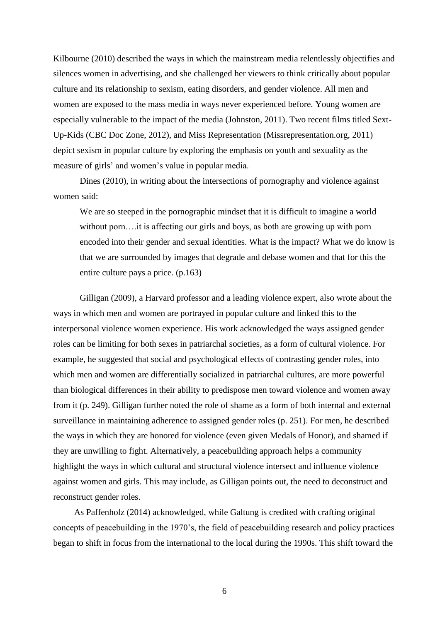Kilbourne (2010) described the ways in which the mainstream media relentlessly objectifies and silences women in advertising, and she challenged her viewers to think critically about popular culture and its relationship to sexism, eating disorders, and gender violence. All men and women are exposed to the mass media in ways never experienced before. Young women are especially vulnerable to the impact of the media (Johnston, 2011). Two recent films titled Sext-Up-Kids (CBC Doc Zone, 2012), and Miss Representation (Missrepresentation.org, 2011) depict sexism in popular culture by exploring the emphasis on youth and sexuality as the measure of girls' and women's value in popular media.

Dines (2010), in writing about the intersections of pornography and violence against women said:

We are so steeped in the pornographic mindset that it is difficult to imagine a world without porn....it is affecting our girls and boys, as both are growing up with porn encoded into their gender and sexual identities. What is the impact? What we do know is that we are surrounded by images that degrade and debase women and that for this the entire culture pays a price. (p.163)

Gilligan (2009), a Harvard professor and a leading violence expert, also wrote about the ways in which men and women are portrayed in popular culture and linked this to the interpersonal violence women experience. His work acknowledged the ways assigned gender roles can be limiting for both sexes in patriarchal societies, as a form of cultural violence. For example, he suggested that social and psychological effects of contrasting gender roles, into which men and women are differentially socialized in patriarchal cultures, are more powerful than biological differences in their ability to predispose men toward violence and women away from it (p. 249). Gilligan further noted the role of shame as a form of both internal and external surveillance in maintaining adherence to assigned gender roles (p. 251). For men, he described the ways in which they are honored for violence (even given Medals of Honor), and shamed if they are unwilling to fight. Alternatively, a peacebuilding approach helps a community highlight the ways in which cultural and structural violence intersect and influence violence against women and girls. This may include, as Gilligan points out, the need to deconstruct and reconstruct gender roles.

As Paffenholz (2014) acknowledged, while Galtung is credited with crafting original concepts of peacebuilding in the 1970's, the field of peacebuilding research and policy practices began to shift in focus from the international to the local during the 1990s. This shift toward the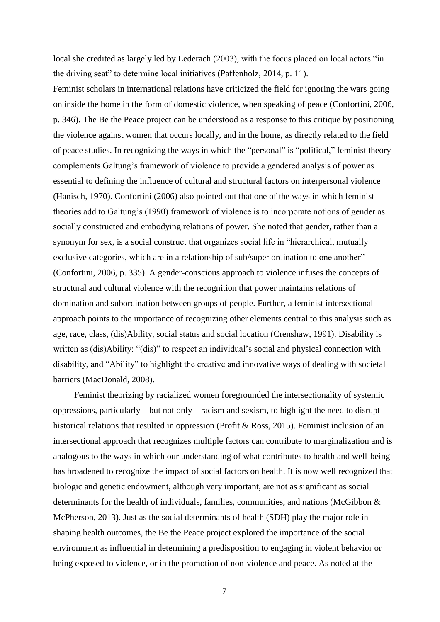local she credited as largely led by Lederach (2003), with the focus placed on local actors "in the driving seat" to determine local initiatives (Paffenholz, 2014, p. 11).

Feminist scholars in international relations have criticized the field for ignoring the wars going on inside the home in the form of domestic violence, when speaking of peace (Confortini, 2006, p. 346). The Be the Peace project can be understood as a response to this critique by positioning the violence against women that occurs locally, and in the home, as directly related to the field of peace studies. In recognizing the ways in which the "personal" is "political," feminist theory complements Galtung's framework of violence to provide a gendered analysis of power as essential to defining the influence of cultural and structural factors on interpersonal violence (Hanisch, 1970). Confortini (2006) also pointed out that one of the ways in which feminist theories add to Galtung's (1990) framework of violence is to incorporate notions of gender as socially constructed and embodying relations of power. She noted that gender, rather than a synonym for sex, is a social construct that organizes social life in "hierarchical, mutually exclusive categories, which are in a relationship of sub/super ordination to one another" (Confortini, 2006, p. 335). A gender-conscious approach to violence infuses the concepts of structural and cultural violence with the recognition that power maintains relations of domination and subordination between groups of people. Further, a feminist intersectional approach points to the importance of recognizing other elements central to this analysis such as age, race, class, (dis)Ability, social status and social location (Crenshaw, 1991). Disability is written as (dis)Ability: "(dis)" to respect an individual's social and physical connection with disability, and "Ability" to highlight the creative and innovative ways of dealing with societal barriers (MacDonald, 2008).

Feminist theorizing by racialized women foregrounded the intersectionality of systemic oppressions, particularly—but not only—racism and sexism, to highlight the need to disrupt historical relations that resulted in oppression (Profit & Ross, 2015). Feminist inclusion of an intersectional approach that recognizes multiple factors can contribute to marginalization and is analogous to the ways in which our understanding of what contributes to health and well-being has broadened to recognize the impact of social factors on health. It is now well recognized that biologic and genetic endowment, although very important, are not as significant as social determinants for the health of individuals, families, communities, and nations (McGibbon & McPherson, 2013). Just as the social determinants of health (SDH) play the major role in shaping health outcomes, the Be the Peace project explored the importance of the social environment as influential in determining a predisposition to engaging in violent behavior or being exposed to violence, or in the promotion of non-violence and peace. As noted at the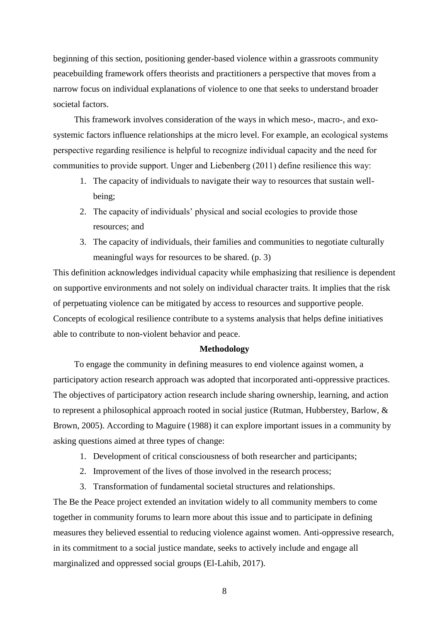beginning of this section, positioning gender-based violence within a grassroots community peacebuilding framework offers theorists and practitioners a perspective that moves from a narrow focus on individual explanations of violence to one that seeks to understand broader societal factors.

This framework involves consideration of the ways in which meso-, macro-, and exosystemic factors influence relationships at the micro level. For example, an ecological systems perspective regarding resilience is helpful to recognize individual capacity and the need for communities to provide support. Unger and Liebenberg (2011) define resilience this way:

- 1. The capacity of individuals to navigate their way to resources that sustain wellbeing;
- 2. The capacity of individuals' physical and social ecologies to provide those resources; and
- 3. The capacity of individuals, their families and communities to negotiate culturally meaningful ways for resources to be shared. (p. 3)

This definition acknowledges individual capacity while emphasizing that resilience is dependent on supportive environments and not solely on individual character traits. It implies that the risk of perpetuating violence can be mitigated by access to resources and supportive people. Concepts of ecological resilience contribute to a systems analysis that helps define initiatives able to contribute to non-violent behavior and peace.

## **Methodology**

To engage the community in defining measures to end violence against women, a participatory action research approach was adopted that incorporated anti-oppressive practices. The objectives of participatory action research include sharing ownership, learning, and action to represent a philosophical approach rooted in social justice (Rutman, Hubberstey, Barlow, & Brown, 2005). According to Maguire (1988) it can explore important issues in a community by asking questions aimed at three types of change:

- 1. Development of critical consciousness of both researcher and participants;
- 2. Improvement of the lives of those involved in the research process;
- 3. Transformation of fundamental societal structures and relationships.

The Be the Peace project extended an invitation widely to all community members to come together in community forums to learn more about this issue and to participate in defining measures they believed essential to reducing violence against women. Anti-oppressive research, in its commitment to a social justice mandate, seeks to actively include and engage all marginalized and oppressed social groups (El-Lahib, 2017).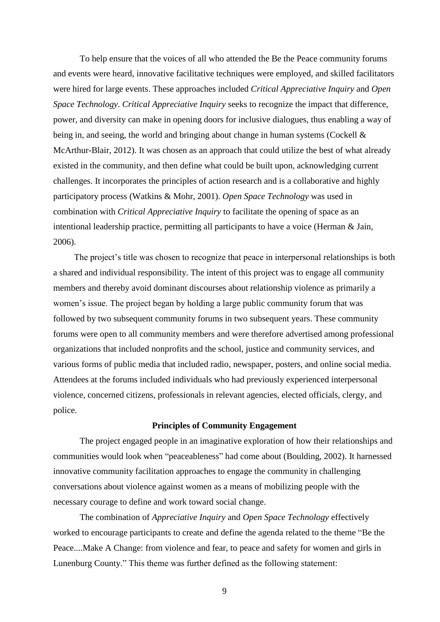To help ensure that the voices of all who attended the Be the Peace community forums and events were heard, innovative facilitative techniques were employed, and skilled facilitators were hired for large events. These approaches included *Critical Appreciative Inquiry* and *Open Space Technology*. *Critical Appreciative Inquiry* seeks to recognize the impact that difference, power, and diversity can make in opening doors for inclusive dialogues, thus enabling a way of being in, and seeing, the world and bringing about change in human systems (Cockell & McArthur-Blair, 2012). It was chosen as an approach that could utilize the best of what already existed in the community, and then define what could be built upon, acknowledging current challenges. It incorporates the principles of action research and is a collaborative and highly participatory process (Watkins & Mohr, 2001). *Open Space Technology* was used in combination with *Critical Appreciative Inquiry* to facilitate the opening of space as an intentional leadership practice, permitting all participants to have a voice (Herman & Jain, 2006).

The project's title was chosen to recognize that peace in interpersonal relationships is both a shared and individual responsibility. The intent of this project was to engage all community members and thereby avoid dominant discourses about relationship violence as primarily a women's issue. The project began by holding a large public community forum that was followed by two subsequent community forums in two subsequent years. These community forums were open to all community members and were therefore advertised among professional organizations that included nonprofits and the school, justice and community services, and various forms of public media that included radio, newspaper, posters, and online social media. Attendees at the forums included individuals who had previously experienced interpersonal violence, concerned citizens, professionals in relevant agencies, elected officials, clergy, and police.

## **Principles of Community Engagement**

The project engaged people in an imaginative exploration of how their relationships and communities would look when "peaceableness" had come about (Boulding, 2002). It harnessed innovative community facilitation approaches to engage the community in challenging conversations about violence against women as a means of mobilizing people with the necessary courage to define and work toward social change.

The combination of *Appreciative Inquiry* and *Open Space Technology* effectively worked to encourage participants to create and define the agenda related to the theme "Be the Peace....Make A Change: from violence and fear, to peace and safety for women and girls in Lunenburg County." This theme was further defined as the following statement: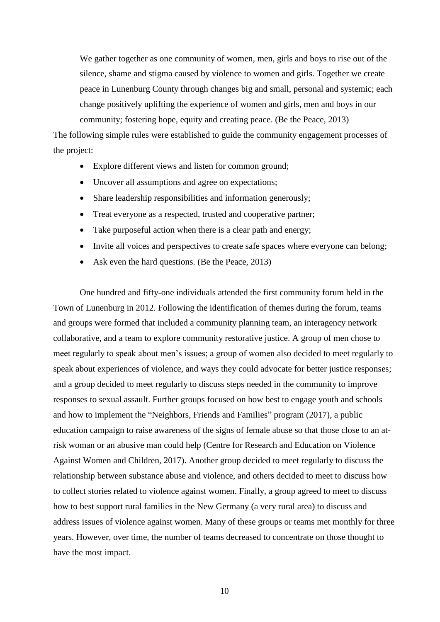We gather together as one community of women, men, girls and boys to rise out of the silence, shame and stigma caused by violence to women and girls. Together we create peace in Lunenburg County through changes big and small, personal and systemic; each change positively uplifting the experience of women and girls, men and boys in our community; fostering hope, equity and creating peace. (Be the Peace, 2013)

The following simple rules were established to guide the community engagement processes of the project:

- Explore different views and listen for common ground;
- Uncover all assumptions and agree on expectations;
- Share leadership responsibilities and information generously;
- Treat everyone as a respected, trusted and cooperative partner;
- Take purposeful action when there is a clear path and energy;
- Invite all voices and perspectives to create safe spaces where everyone can belong;
- Ask even the hard questions. (Be the Peace, 2013)

One hundred and fifty-one individuals attended the first community forum held in the Town of Lunenburg in 2012. Following the identification of themes during the forum, teams and groups were formed that included a community planning team, an interagency network collaborative, and a team to explore community restorative justice. A group of men chose to meet regularly to speak about men's issues; a group of women also decided to meet regularly to speak about experiences of violence, and ways they could advocate for better justice responses; and a group decided to meet regularly to discuss steps needed in the community to improve responses to sexual assault. Further groups focused on how best to engage youth and schools and how to implement the "Neighbors, Friends and Families" program (2017), a public education campaign to raise awareness of the signs of female abuse so that those close to an atrisk woman or an abusive man could help (Centre for Research and Education on Violence Against Women and Children, 2017). Another group decided to meet regularly to discuss the relationship between substance abuse and violence, and others decided to meet to discuss how to collect stories related to violence against women. Finally, a group agreed to meet to discuss how to best support rural families in the New Germany (a very rural area) to discuss and address issues of violence against women. Many of these groups or teams met monthly for three years. However, over time, the number of teams decreased to concentrate on those thought to have the most impact.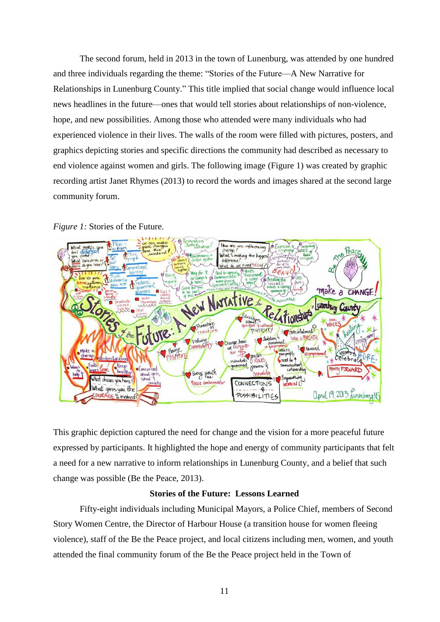The second forum, held in 2013 in the town of Lunenburg, was attended by one hundred and three individuals regarding the theme: "Stories of the Future—A New Narrative for Relationships in Lunenburg County." This title implied that social change would influence local news headlines in the future—ones that would tell stories about relationships of non-violence, hope, and new possibilities. Among those who attended were many individuals who had experienced violence in their lives. The walls of the room were filled with pictures, posters, and graphics depicting stories and specific directions the community had described as necessary to end violence against women and girls. The following image (Figure 1) was created by graphic recording artist Janet Rhymes (2013) to record the words and images shared at the second large community forum.





This graphic depiction captured the need for change and the vision for a more peaceful future expressed by participants. It highlighted the hope and energy of community participants that felt a need for a new narrative to inform relationships in Lunenburg County, and a belief that such change was possible (Be the Peace, 2013).

## **Stories of the Future: Lessons Learned**

Fifty-eight individuals including Municipal Mayors, a Police Chief, members of Second Story Women Centre, the Director of Harbour House (a transition house for women fleeing violence), staff of the Be the Peace project, and local citizens including men, women, and youth attended the final community forum of the Be the Peace project held in the Town of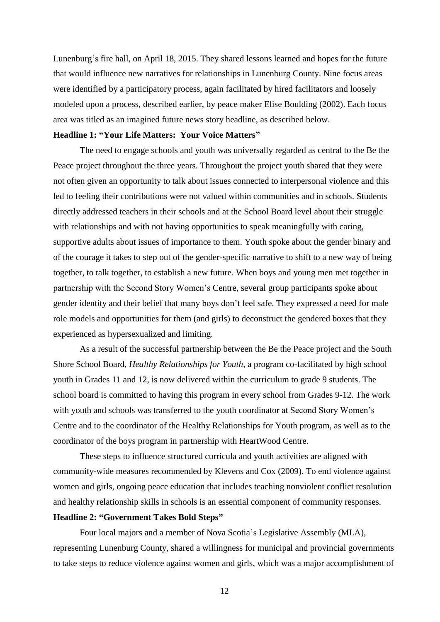Lunenburg's fire hall, on April 18, 2015. They shared lessons learned and hopes for the future that would influence new narratives for relationships in Lunenburg County. Nine focus areas were identified by a participatory process, again facilitated by hired facilitators and loosely modeled upon a process, described earlier, by peace maker Elise Boulding (2002). Each focus area was titled as an imagined future news story headline, as described below.

#### **Headline 1: "Your Life Matters: Your Voice Matters"**

The need to engage schools and youth was universally regarded as central to the Be the Peace project throughout the three years. Throughout the project youth shared that they were not often given an opportunity to talk about issues connected to interpersonal violence and this led to feeling their contributions were not valued within communities and in schools. Students directly addressed teachers in their schools and at the School Board level about their struggle with relationships and with not having opportunities to speak meaningfully with caring, supportive adults about issues of importance to them. Youth spoke about the gender binary and of the courage it takes to step out of the gender-specific narrative to shift to a new way of being together, to talk together, to establish a new future. When boys and young men met together in partnership with the Second Story Women's Centre, several group participants spoke about gender identity and their belief that many boys don't feel safe. They expressed a need for male role models and opportunities for them (and girls) to deconstruct the gendered boxes that they experienced as hypersexualized and limiting.

As a result of the successful partnership between the Be the Peace project and the South Shore School Board, *Healthy Relationships for Youth*, a program co-facilitated by high school youth in Grades 11 and 12, is now delivered within the curriculum to grade 9 students. The school board is committed to having this program in every school from Grades 9-12. The work with youth and schools was transferred to the youth coordinator at Second Story Women's Centre and to the coordinator of the Healthy Relationships for Youth program, as well as to the coordinator of the boys program in partnership with HeartWood Centre.

These steps to influence structured curricula and youth activities are aligned with community-wide measures recommended by Klevens and Cox (2009). To end violence against women and girls, ongoing peace education that includes teaching nonviolent conflict resolution and healthy relationship skills in schools is an essential component of community responses. **Headline 2: "Government Takes Bold Steps"**

Four local majors and a member of Nova Scotia's Legislative Assembly (MLA), representing Lunenburg County, shared a willingness for municipal and provincial governments to take steps to reduce violence against women and girls, which was a major accomplishment of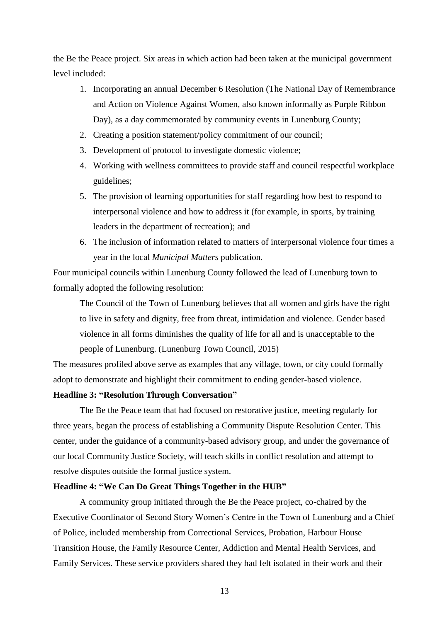the Be the Peace project. Six areas in which action had been taken at the municipal government level included:

- 1. Incorporating an annual December 6 Resolution (The National Day of Remembrance and Action on Violence Against Women, also known informally as Purple Ribbon Day), as a day commemorated by community events in Lunenburg County;
- 2. Creating a position statement/policy commitment of our council;
- 3. Development of protocol to investigate domestic violence;
- 4. Working with wellness committees to provide staff and council respectful workplace guidelines;
- 5. The provision of learning opportunities for staff regarding how best to respond to interpersonal violence and how to address it (for example, in sports, by training leaders in the department of recreation); and
- 6. The inclusion of information related to matters of interpersonal violence four times a year in the local *Municipal Matters* publication.

Four municipal councils within Lunenburg County followed the lead of Lunenburg town to formally adopted the following resolution:

The Council of the Town of Lunenburg believes that all women and girls have the right to live in safety and dignity, free from threat, intimidation and violence. Gender based violence in all forms diminishes the quality of life for all and is unacceptable to the people of Lunenburg. (Lunenburg Town Council, 2015)

The measures profiled above serve as examples that any village, town, or city could formally adopt to demonstrate and highlight their commitment to ending gender-based violence.

## **Headline 3: "Resolution Through Conversation"**

The Be the Peace team that had focused on restorative justice, meeting regularly for three years, began the process of establishing a Community Dispute Resolution Center. This center, under the guidance of a community-based advisory group, and under the governance of our local Community Justice Society, will teach skills in conflict resolution and attempt to resolve disputes outside the formal justice system.

## **Headline 4: "We Can Do Great Things Together in the HUB"**

A community group initiated through the Be the Peace project, co-chaired by the Executive Coordinator of Second Story Women's Centre in the Town of Lunenburg and a Chief of Police, included membership from Correctional Services, Probation, Harbour House Transition House, the Family Resource Center, Addiction and Mental Health Services, and Family Services. These service providers shared they had felt isolated in their work and their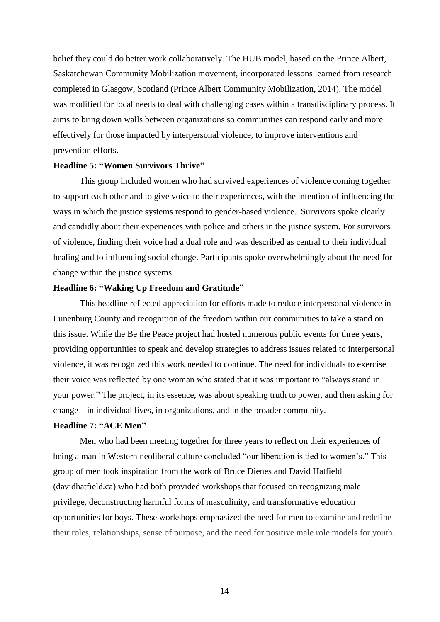belief they could do better work collaboratively. The HUB model, based on the Prince Albert, Saskatchewan Community Mobilization movement, incorporated lessons learned from research completed in Glasgow, Scotland (Prince Albert Community Mobilization, 2014). The model was modified for local needs to deal with challenging cases within a transdisciplinary process. It aims to bring down walls between organizations so communities can respond early and more effectively for those impacted by interpersonal violence, to improve interventions and prevention efforts.

## **Headline 5: "Women Survivors Thrive"**

This group included women who had survived experiences of violence coming together to support each other and to give voice to their experiences, with the intention of influencing the ways in which the justice systems respond to gender-based violence. Survivors spoke clearly and candidly about their experiences with police and others in the justice system. For survivors of violence, finding their voice had a dual role and was described as central to their individual healing and to influencing social change. Participants spoke overwhelmingly about the need for change within the justice systems.

## **Headline 6: "Waking Up Freedom and Gratitude"**

This headline reflected appreciation for efforts made to reduce interpersonal violence in Lunenburg County and recognition of the freedom within our communities to take a stand on this issue. While the Be the Peace project had hosted numerous public events for three years, providing opportunities to speak and develop strategies to address issues related to interpersonal violence, it was recognized this work needed to continue. The need for individuals to exercise their voice was reflected by one woman who stated that it was important to "always stand in your power." The project, in its essence, was about speaking truth to power, and then asking for change—in individual lives, in organizations, and in the broader community.

## **Headline 7: "ACE Men"**

Men who had been meeting together for three years to reflect on their experiences of being a man in Western neoliberal culture concluded "our liberation is tied to women's." This group of men took inspiration from the work of Bruce Dienes and David Hatfield (davidhatfield.ca) who had both provided workshops that focused on recognizing male privilege, deconstructing harmful forms of masculinity, and transformative education opportunities for boys. These workshops emphasized the need for men to examine and redefine their roles, relationships, sense of purpose, and the need for positive male role models for youth.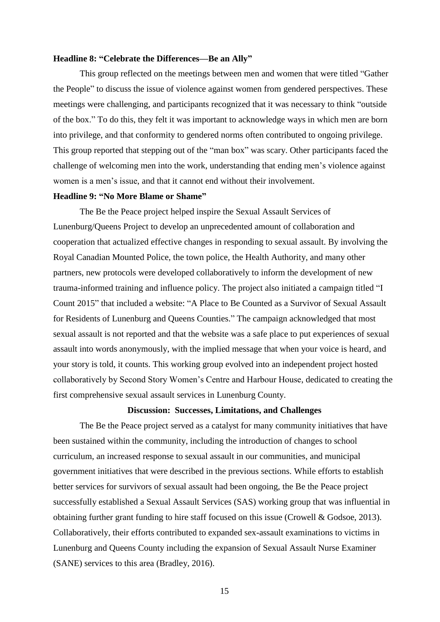## **Headline 8: "Celebrate the Differences—Be an Ally"**

This group reflected on the meetings between men and women that were titled "Gather the People" to discuss the issue of violence against women from gendered perspectives. These meetings were challenging, and participants recognized that it was necessary to think "outside of the box." To do this, they felt it was important to acknowledge ways in which men are born into privilege, and that conformity to gendered norms often contributed to ongoing privilege. This group reported that stepping out of the "man box" was scary. Other participants faced the challenge of welcoming men into the work, understanding that ending men's violence against women is a men's issue, and that it cannot end without their involvement.

## **Headline 9: "No More Blame or Shame"**

The Be the Peace project helped inspire the Sexual Assault Services of Lunenburg/Queens Project to develop an unprecedented amount of collaboration and cooperation that actualized effective changes in responding to sexual assault. By involving the Royal Canadian Mounted Police, the town police, the Health Authority, and many other partners, new protocols were developed collaboratively to inform the development of new trauma-informed training and influence policy. The project also initiated a campaign titled "I Count 2015" that included a website: "A Place to Be Counted as a Survivor of Sexual Assault for Residents of Lunenburg and Queens Counties." The campaign acknowledged that most sexual assault is not reported and that the website was a safe place to put experiences of sexual assault into words anonymously, with the implied message that when your voice is heard, and your story is told, it counts. This working group evolved into an independent project hosted collaboratively by Second Story Women's Centre and Harbour House, dedicated to creating the first comprehensive sexual assault services in Lunenburg County.

## **Discussion: Successes, Limitations, and Challenges**

The Be the Peace project served as a catalyst for many community initiatives that have been sustained within the community, including the introduction of changes to school curriculum, an increased response to sexual assault in our communities, and municipal government initiatives that were described in the previous sections. While efforts to establish better services for survivors of sexual assault had been ongoing, the Be the Peace project successfully established a Sexual Assault Services (SAS) working group that was influential in obtaining further grant funding to hire staff focused on this issue (Crowell & Godsoe, 2013). Collaboratively, their efforts contributed to expanded sex-assault examinations to victims in Lunenburg and Queens County including the expansion of Sexual Assault Nurse Examiner (SANE) services to this area (Bradley, 2016).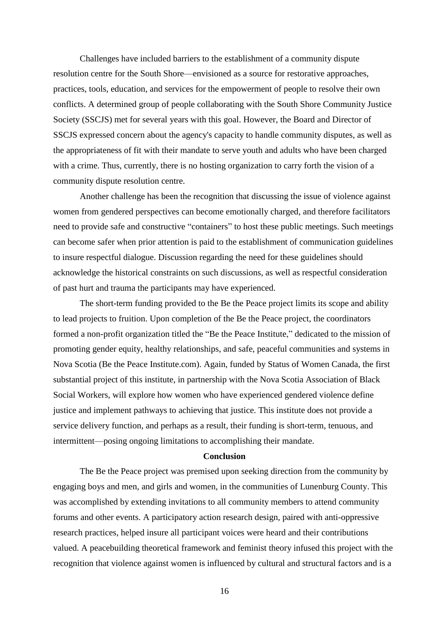Challenges have included barriers to the establishment of a community dispute resolution centre for the South Shore—envisioned as a source for restorative approaches, practices, tools, education, and services for the empowerment of people to resolve their own conflicts. A determined group of people collaborating with the South Shore Community Justice Society (SSCJS) met for several years with this goal. However, the Board and Director of SSCJS expressed concern about the agency's capacity to handle community disputes, as well as the appropriateness of fit with their mandate to serve youth and adults who have been charged with a crime. Thus, currently, there is no hosting organization to carry forth the vision of a community dispute resolution centre.

Another challenge has been the recognition that discussing the issue of violence against women from gendered perspectives can become emotionally charged, and therefore facilitators need to provide safe and constructive "containers" to host these public meetings. Such meetings can become safer when prior attention is paid to the establishment of communication guidelines to insure respectful dialogue. Discussion regarding the need for these guidelines should acknowledge the historical constraints on such discussions, as well as respectful consideration of past hurt and trauma the participants may have experienced.

The short-term funding provided to the Be the Peace project limits its scope and ability to lead projects to fruition. Upon completion of the Be the Peace project, the coordinators formed a non-profit organization titled the "Be the Peace Institute," dedicated to the mission of promoting gender equity, healthy relationships, and safe, peaceful communities and systems in Nova Scotia (Be the Peace Institute.com). Again, funded by Status of Women Canada, the first substantial project of this institute, in partnership with the Nova Scotia Association of Black Social Workers, will explore how women who have experienced gendered violence define justice and implement pathways to achieving that justice. This institute does not provide a service delivery function, and perhaps as a result, their funding is short-term, tenuous, and intermittent—posing ongoing limitations to accomplishing their mandate.

#### **Conclusion**

The Be the Peace project was premised upon seeking direction from the community by engaging boys and men, and girls and women, in the communities of Lunenburg County. This was accomplished by extending invitations to all community members to attend community forums and other events. A participatory action research design, paired with anti-oppressive research practices, helped insure all participant voices were heard and their contributions valued. A peacebuilding theoretical framework and feminist theory infused this project with the recognition that violence against women is influenced by cultural and structural factors and is a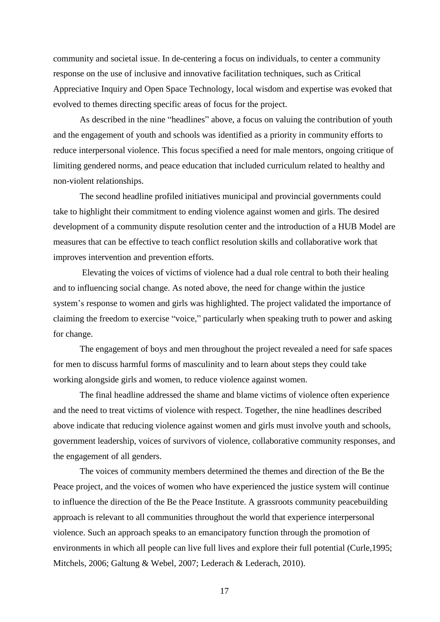community and societal issue. In de-centering a focus on individuals, to center a community response on the use of inclusive and innovative facilitation techniques, such as Critical Appreciative Inquiry and Open Space Technology, local wisdom and expertise was evoked that evolved to themes directing specific areas of focus for the project.

As described in the nine "headlines" above, a focus on valuing the contribution of youth and the engagement of youth and schools was identified as a priority in community efforts to reduce interpersonal violence. This focus specified a need for male mentors, ongoing critique of limiting gendered norms, and peace education that included curriculum related to healthy and non-violent relationships.

The second headline profiled initiatives municipal and provincial governments could take to highlight their commitment to ending violence against women and girls. The desired development of a community dispute resolution center and the introduction of a HUB Model are measures that can be effective to teach conflict resolution skills and collaborative work that improves intervention and prevention efforts.

Elevating the voices of victims of violence had a dual role central to both their healing and to influencing social change. As noted above, the need for change within the justice system's response to women and girls was highlighted. The project validated the importance of claiming the freedom to exercise "voice," particularly when speaking truth to power and asking for change.

The engagement of boys and men throughout the project revealed a need for safe spaces for men to discuss harmful forms of masculinity and to learn about steps they could take working alongside girls and women, to reduce violence against women.

The final headline addressed the shame and blame victims of violence often experience and the need to treat victims of violence with respect. Together, the nine headlines described above indicate that reducing violence against women and girls must involve youth and schools, government leadership, voices of survivors of violence, collaborative community responses, and the engagement of all genders.

The voices of community members determined the themes and direction of the Be the Peace project, and the voices of women who have experienced the justice system will continue to influence the direction of the Be the Peace Institute. A grassroots community peacebuilding approach is relevant to all communities throughout the world that experience interpersonal violence. Such an approach speaks to an emancipatory function through the promotion of environments in which all people can live full lives and explore their full potential (Curle,1995; Mitchels, 2006; Galtung & Webel, 2007; Lederach & Lederach, 2010).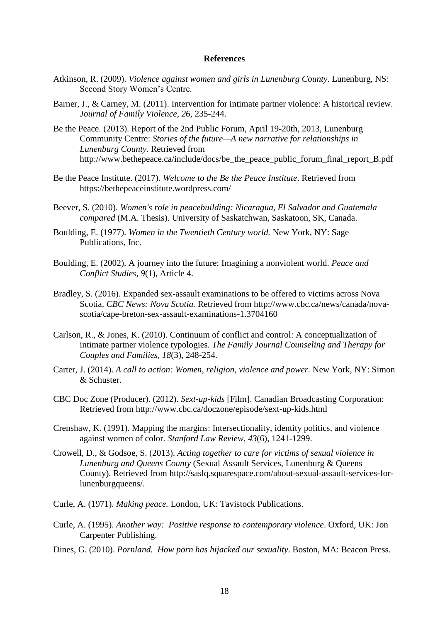## **References**

- Atkinson, R. (2009). *Violence against women and girls in Lunenburg County*. Lunenburg, NS: Second Story Women's Centre.
- Barner, J., & Carney, M. (2011). Intervention for intimate partner violence: A historical review. *Journal of Family Violence, 26,* 235-244.
- Be the Peace. (2013). Report of the 2nd Public Forum, April 19-20th, 2013, Lunenburg Community Centre: *Stories of the future—A new narrative for relationships in Lunenburg County.* Retrieved from [http://www.bethepeace.ca/include/docs/be\\_the\\_peace\\_public\\_forum\\_final\\_report\\_B.pdf](http://www.bethepeace.ca/include/docs/be_the_peace_public_forum_final_report_B.pdf)
- Be the Peace Institute. (2017). *Welcome to the Be the Peace Institute*. Retrieved from https://bethepeaceinstitute.wordpress.com/
- Beever, S. (2010). *Women's role in peacebuilding: Nicaragua, El Salvador and Guatemala compared* (M.A. Thesis). University of Saskatchwan, Saskatoon, SK, Canada.
- Boulding, E. (1977). *Women in the Twentieth Century world.* New York, NY: Sage Publications, Inc.
- Boulding, E. (2002). A journey into the future: Imagining a nonviolent world. *Peace and Conflict Studies, 9*(1), Article 4.
- Bradley, S. (2016). Expanded sex-assault examinations to be offered to victims across Nova Scotia. *CBC News: Nova Scotia.* Retrieved from [http://www.cbc.ca/news/canada/nova](http://www.cbc.ca/news/canada/nova-scotia/cape-breton-sex-assault-examinations-1.3704160)[scotia/cape-breton-sex-assault-examinations-1.3704160](http://www.cbc.ca/news/canada/nova-scotia/cape-breton-sex-assault-examinations-1.3704160)
- Carlson, R., & Jones, K. (2010). Continuum of conflict and control: A conceptualization of intimate partner violence typologies. *The Family Journal Counseling and Therapy for Couples and Families, 18*(3), 248-254.
- Carter, J. (2014). *A call to action: Women, religion, violence and power.* New York, NY: Simon & Schuster.
- CBC Doc Zone (Producer). (2012). *Sext-up-kids* [Film]. Canadian Broadcasting Corporation: Retrieved from<http://www.cbc.ca/doczone/episode/sext-up-kids.html>
- Crenshaw, K. (1991). Mapping the margins: Intersectionality, identity politics, and violence against women of color. *Stanford Law Review, 43*(6), 1241-1299.
- Crowell, D., & Godsoe, S. (2013). *Acting together to care for victims of sexual violence in Lunenburg and Queens County* (Sexual Assault Services, Lunenburg & Queens County). Retrieved from http://saslq.squarespace.com/about-sexual-assault-services-forlunenburgqueens/.
- Curle, A. (1971). *Making peace.* London, UK: Tavistock Publications.
- Curle, A. (1995). *Another way: Positive response to contemporary violence*. Oxford, UK: Jon Carpenter Publishing.
- Dines, G. (2010). *Pornland. How porn has hijacked our sexuality*. Boston, MA: Beacon Press.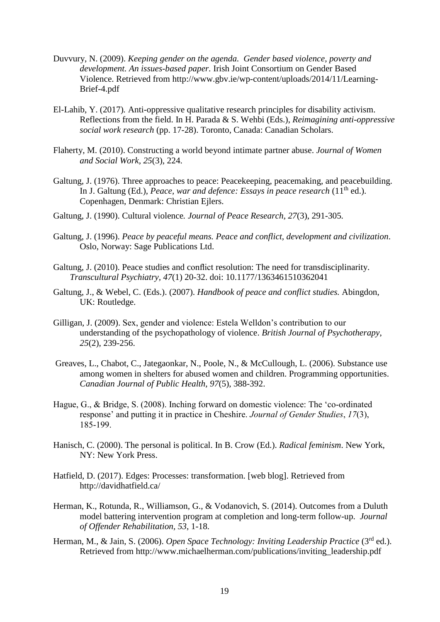- Duvvury, N. (2009). *Keeping gender on the agenda. Gender based violence, poverty and development. An issues-based paper.* Irish Joint Consortium on Gender Based Violence. Retrieved from [http://www.gbv.ie/wp-content/uploads/2014/11/Learning-](http://www.gbv.ie/wp-content/uploads/2014/11/Learning-Brief-4.pdf)[Brief-4.pdf](http://www.gbv.ie/wp-content/uploads/2014/11/Learning-Brief-4.pdf)
- El-Lahib, Y. (2017)*.* Anti-oppressive qualitative research principles for disability activism. Reflections from the field. In H. Parada & S. Wehbi (Eds.), *Reimagining anti-oppressive social work research* (pp. 17-28). Toronto, Canada: Canadian Scholars.
- Flaherty, M. (2010). Constructing a world beyond intimate partner abuse. *Journal of Women and Social Work, 25*(3), 224.
- Galtung, J. (1976). Three approaches to peace: Peacekeeping, peacemaking, and peacebuilding. In J. Galtung (Ed.), *Peace, war and defence: Essays in peace research* (11<sup>th</sup> ed.). Copenhagen, Denmark: Christian Ejlers.
- Galtung, J. (1990). Cultural violence*. Journal of Peace Research, 27*(3), 291-305*.*
- Galtung, J. (1996). *Peace by peaceful means. Peace and conflict, development and civilization*. Oslo, Norway: Sage Publications Ltd.
- Galtung, J. (2010). Peace studies and conflict resolution: The need for transdisciplinarity. *Transcultural Psychiatry, 47*(1) 20-32. doi: 10.1177/1363461510362041
- Galtung, J., & Webel, C. (Eds.). (2007). *Handbook of peace and conflict studies.* Abingdon, UK: Routledge.
- Gilligan, J. (2009). Sex, gender and violence: Estela Welldon's contribution to our understanding of the psychopathology of violence. *British Journal of Psychotherapy*, *25*(2), 239-256.
- Greaves, L., Chabot, C., Jategaonkar, N., Poole, N., & McCullough, L. (2006). [Substance use](http://www.researchgate.net/publication/6676917_Substance_use_among_women_in_shelters_for_abused_women_and_children._Programming_opportunities)  [among women in shelters for abused women and children. Programming opportunities.](http://www.researchgate.net/publication/6676917_Substance_use_among_women_in_shelters_for_abused_women_and_children._Programming_opportunities) *Canadian Journal of Public Health, 97*(5), 388-392.
- Hague, G., & Bridge, S. (2008). Inching forward on domestic violence: The 'co-ordinated response' and putting it in practice in Cheshire. *Journal of Gender Studies*, *17*(3), 185-199.
- Hanisch, C. (2000). The personal is political. In B. Crow (Ed.). *Radical feminism*. New York, NY: New York Press.
- Hatfield, D. (2017). Edges: Processes: transformation. [web blog]. Retrieved from <http://davidhatfield.ca/>
- Herman, K., Rotunda, R., Williamson, G., & Vodanovich, S. (2014). Outcomes from a Duluth model battering intervention program at completion and long-term follow-up. *Journal of Offender Rehabilitation, 53*, 1-18.
- Herman, M., & Jain, S. (2006). *Open Space Technology: Inviting Leadership Practice* (3rd ed.). Retrieved from [http://www.michaelherman.com/publications/inviting\\_leadership.pdf](http://www.michaelherman.com/publications/inviting_leadership.pdf)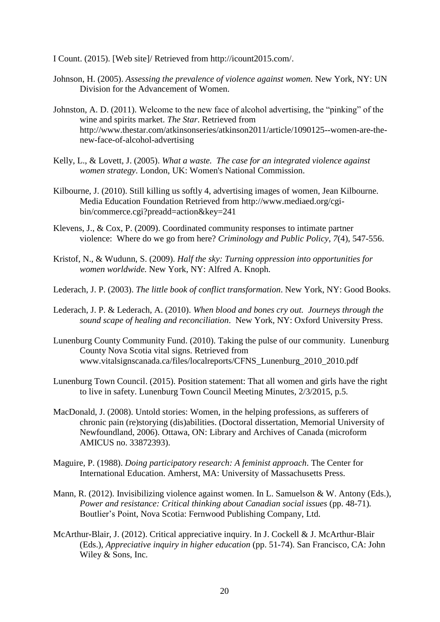I Count. (2015). [Web site]/ Retrieved from [http://icount2015.com/.](http://icount2015.com/)

- Johnson, H. (2005). *Assessing the prevalence of violence against women.* New York, NY: UN Division for the Advancement of Women.
- Johnston, A. D. (2011). Welcome to the new face of alcohol advertising, the "pinking" of the wine and spirits market. *The Star*. Retrieved from [http://www.thestar.com/atkinsonseries/atkinson2011/article/1090125--women-are-the](http://www.thestar.com/atkinsonseries/atkinson2011/article/1090125--women-are-the-new-face-of-alcohol-advertising)[new-face-of-alcohol-advertising](http://www.thestar.com/atkinsonseries/atkinson2011/article/1090125--women-are-the-new-face-of-alcohol-advertising)
- Kelly, L., & Lovett, J. (2005). *What a waste. The case for an integrated violence against women strategy*. London, UK: Women's National Commission.
- Kilbourne, J. (2010). Still killing us softly 4, advertising images of women, Jean Kilbourne. Media Education Foundation Retrieved from http://www.mediaed.org/cgibin/commerce.cgi?preadd=action&key=241
- Klevens, J., & Cox, P. (2009). Coordinated community responses to intimate partner violence: Where do we go from here? *Criminology and Public Policy*, *7*(4), 547-556.
- Kristof, N., & Wudunn, S. (2009). *Half the sky: Turning oppression into opportunities for women worldwide.* New York, NY: Alfred A. Knoph.
- Lederach, J. P. (2003). *The little book of conflict transformation*. New York, NY: Good Books.
- Lederach, J. P. & Lederach, A. (2010). *When blood and bones cry out. Journeys through the sound scape of healing and reconciliation*. New York, NY: Oxford University Press.
- Lunenburg County Community Fund. (2010). Taking the pulse of our community. Lunenburg County Nova Scotia vital signs. Retrieved from [www.vitalsignscanada.ca/files/localreports/CFNS\\_Lunenburg\\_2010\\_2010.pdf](http://www.vitalsignscanada.ca/files/localreports/CFNS_Lunenburg_2010_2010.pdf)
- Lunenburg Town Council. (2015). Position statement: That all women and girls have the right to live in safety. Lunenburg Town Council Meeting Minutes, 2/3/2015, p.5.
- MacDonald, J. (2008). Untold stories: Women, in the helping professions, as sufferers of chronic pain (re)storying (dis)abilities. (Doctoral dissertation, Memorial University of Newfoundland, 2006). Ottawa, ON: Library and Archives of Canada (microform AMICUS no. 33872393).
- Maguire, P. (1988). *Doing participatory research: A feminist approach*. The Center for International Education. Amherst, MA: University of Massachusetts Press.
- Mann, R. (2012). Invisibilizing violence against women. In L. Samuelson & W. Antony (Eds.), *Power and resistance: Critical thinking about Canadian social issues* (pp. 48-71)*.*  Boutlier's Point, Nova Scotia: Fernwood Publishing Company, Ltd.
- McArthur-Blair, J. (2012). Critical appreciative inquiry. In J. Cockell & J. McArthur-Blair (Eds.), *Appreciative inquiry in higher education* (pp. 51-74). San Francisco, CA: John Wiley & Sons, Inc.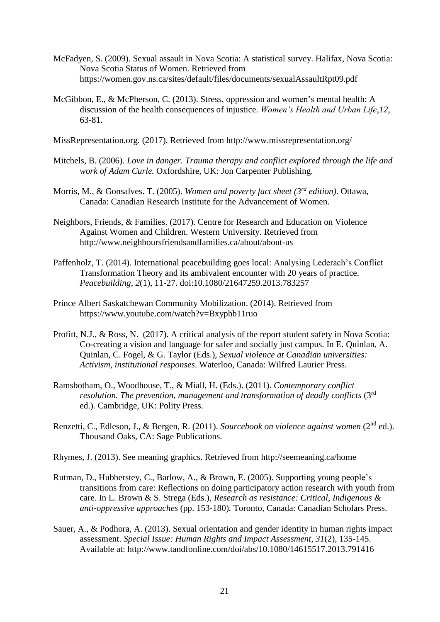- McFadyen, S. (2009). Sexual assault in Nova Scotia: A statistical survey. Halifax, Nova Scotia: Nova Scotia Status of Women. Retrieved from https://women.gov.ns.ca/sites/default/files/documents/sexualAssaultRpt09.pdf
- McGibbon, E., & McPherson, C. (2013). Stress, oppression and women's mental health: A discussion of the health consequences of injustice. *Women's Health and Urban Life*,*12*, 63-81.

MissRepresentation.org. (2017). Retrieved from http://www.missrepresentation.org/

- Mitchels, B. (2006). *Love in danger. Trauma therapy and conflict explored through the life and work of Adam Curle.* Oxfordshire, UK: Jon Carpenter Publishing.
- Morris, M., & Gonsalves. T. (2005). *Women and poverty fact sheet (3 rd edition)*. Ottawa, Canada: Canadian Research Institute for the Advancement of Women.
- Neighbors, Friends, & Families. (2017). Centre for Research and Education on Violence Against Women and Children. Western University. Retrieved from http://www.neighboursfriendsandfamilies.ca/about/about-us
- Paffenholz, T. (2014). International peacebuilding goes local: Analysing Lederach's Conflict Transformation Theory and its ambivalent encounter with 20 years of practice. *Peacebuilding, 2*(1), 11-27. doi:10.1080/21647259.2013.783257
- Prince Albert Saskatchewan Community Mobilization. (2014). Retrieved from <https://www.youtube.com/watch?v=Bxyphb11ruo>
- Profitt, N.J., & Ross, N. (2017). A critical analysis of the report student safety in Nova Scotia: Co-creating a vision and language for safer and socially just campus. In E. Quinlan, A. Quinlan, C. Fogel, & G. Taylor (Eds.), *Sexual violence at Canadian universities: Activism, institutional responses*. Waterloo, Canada: Wilfred Laurier Press.
- Ramsbotham, O., Woodhouse, T., & Miall, H. (Eds.). (2011). *Contemporary conflict resolution. The prevention, management and transformation of deadly conflicts* (3rd ed.)*.* Cambridge, UK: Polity Press.
- Renzetti, C., Edleson, J., & Bergen, R. (2011). *Sourcebook on violence against women* (2nd ed.). Thousand Oaks, CA: Sage Publications.
- Rhymes, J. (2013). See meaning graphics. Retrieved from <http://seemeaning.ca/home>
- Rutman, D., Hubberstey, C., Barlow, A., & Brown, E. (2005). Supporting young people's transitions from care: Reflections on doing participatory action research with youth from care. In L. Brown & S. Strega (Eds.), *Research as resistance: Critical, Indigenous & anti-oppressive approaches* (pp. 153-180)*.* Toronto, Canada: Canadian Scholars Press.
- Sauer, A., & Podhora, A. (2013). Sexual orientation and gender identity in human rights impact assessment. *Special Issue: Human Rights and Impact Assessment*, *31*(2), 135-145. Available at:<http://www.tandfonline.com/doi/abs/10.1080/14615517.2013.791416>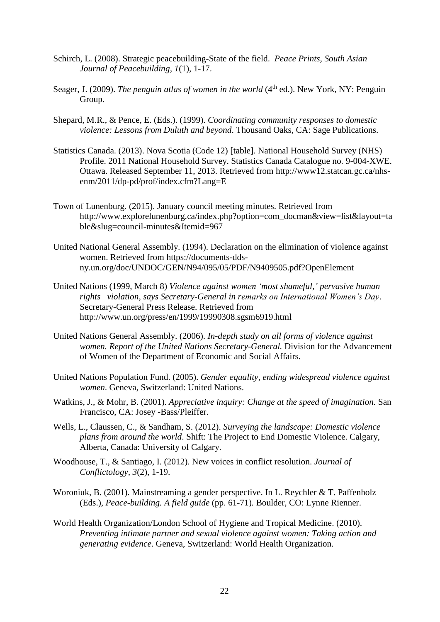- Schirch, L. (2008). Strategic peacebuilding-State of the field. *Peace Prints, South Asian Journal of Peacebuilding, 1*(1), 1-17.
- Seager, J. (2009). *The penguin atlas of women in the world* (4<sup>th</sup> ed.). New York, NY: Penguin Group.
- Shepard, M.R., & Pence, E. (Eds.). (1999). *Coordinating community responses to domestic violence: Lessons from Duluth and beyond*. Thousand Oaks, CA: Sage Publications.
- Statistics Canada. (2013). Nova Scotia (Code 12) [table]. National Household Survey (NHS) Profile. 2011 National Household Survey. Statistics Canada Catalogue no. 9-004-XWE. Ottawa. Released September 11, 2013. Retrieved from http://www12.statcan.gc.ca/nhsenm/2011/dp-pd/prof/index.cfm?Lang=E
- Town of Lunenburg. (2015). January council meeting minutes. Retrieved from [http://www.explorelunenburg.ca/index.php?option=com\\_docman&view=list&layout=ta](http://www.explorelunenburg.ca/index.php?option=com_docman&view=list&layout=table&slug=council-minutes&Itemid=967) [ble&slug=council-minutes&Itemid=967](http://www.explorelunenburg.ca/index.php?option=com_docman&view=list&layout=table&slug=council-minutes&Itemid=967)
- United National General Assembly. (1994). Declaration on the elimination of violence against women. Retrieved from [https://documents-dds](https://documents-dds-ny.un.org/doc/UNDOC/GEN/N94/095/05/PDF/N9409505.pdf?OpenElement)[ny.un.org/doc/UNDOC/GEN/N94/095/05/PDF/N9409505.pdf?OpenElement](https://documents-dds-ny.un.org/doc/UNDOC/GEN/N94/095/05/PDF/N9409505.pdf?OpenElement)
- United Nations (1999, March 8) *Violence against women 'most shameful,' pervasive human rights violation, says Secretary-General in remarks on International Women's Day*. Secretary-General Press Release. Retrieved from <http://www.un.org/press/en/1999/19990308.sgsm6919.html>
- United Nations General Assembly. (2006). *In-depth study on all forms of violence against women. Report of the United Nations Secretary-General.* Division for the Advancement of Women of the Department of Economic and Social Affairs.
- United Nations Population Fund. (2005). *Gender equality, ending widespread violence against women*. Geneva, Switzerland: United Nations.
- Watkins, J., & Mohr, B. (2001). *Appreciative inquiry: Change at the speed of imagination.* San Francisco, CA: Josey -Bass/Pleiffer.
- Wells, L., Claussen, C., & Sandham, S. (2012). *Surveying the landscape: Domestic violence plans from around the world*. Shift: The Project to End Domestic Violence. Calgary, Alberta, Canada: University of Calgary.
- Woodhouse, T., & Santiago, I. (2012). New voices in conflict resolution. *Journal of Conflictology, 3*(2), 1-19.
- Woroniuk, B. (2001). Mainstreaming a gender perspective. In L. Reychler & T. Paffenholz (Eds.), *Peace-building. A field guide* (pp. 61-71)*.* Boulder, CO: Lynne Rienner.
- World Health Organization/London School of Hygiene and Tropical Medicine. (2010). *Preventing intimate partner and sexual violence against women: Taking action and generating evidence*. Geneva, Switzerland: World Health Organization.